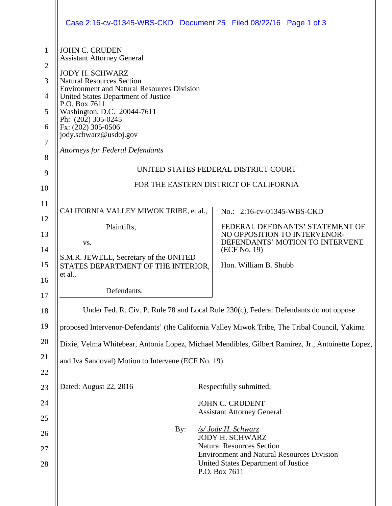|                | Case 2:16-cv-01345-WBS-CKD Document 25 Filed 08/22/16 Page 1 of 3                                 |  |                                                                                       |  |  |
|----------------|---------------------------------------------------------------------------------------------------|--|---------------------------------------------------------------------------------------|--|--|
| 1              | <b>JOHN C. CRUDEN</b><br><b>Assistant Attorney General</b>                                        |  |                                                                                       |  |  |
| $\overline{2}$ | <b>JODY H. SCHWARZ</b>                                                                            |  |                                                                                       |  |  |
| 3              | <b>Natural Resources Section</b><br><b>Environment and Natural Resources Division</b>             |  |                                                                                       |  |  |
| 4<br>5         | United States Department of Justice<br>P.O. Box 7611                                              |  |                                                                                       |  |  |
| 6              | Washington, D.C. 20044-7611<br>Ph: (202) 305-0245                                                 |  |                                                                                       |  |  |
| 7              | Fx: (202) 305-0506<br>jody.schwarz@usdoj.gov                                                      |  |                                                                                       |  |  |
| 8              | <b>Attorneys for Federal Defendants</b>                                                           |  |                                                                                       |  |  |
| 9              | UNITED STATES FEDERAL DISTRICT COURT                                                              |  |                                                                                       |  |  |
| 10             | FOR THE EASTERN DISTRICT OF CALIFORNIA                                                            |  |                                                                                       |  |  |
| 11             | CALIFORNIA VALLEY MIWOK TRIBE, et al.,                                                            |  | No.: 2:16-cv-01345-WBS-CKD                                                            |  |  |
| 12             | Plaintiffs,                                                                                       |  | FEDERAL DEFDNANTS' STATEMENT OF                                                       |  |  |
| 13             | VS.                                                                                               |  | NO OPPOSITION TO INTERVENOR-<br>DEFENDANTS' MOTION TO INTERVENE                       |  |  |
| 14             | S.M.R. JEWELL, Secretary of the UNITED                                                            |  | (ECF No. 19)                                                                          |  |  |
| 15             | STATES DEPARTMENT OF THE INTERIOR,<br>et al.,                                                     |  | Hon. William B. Shubb                                                                 |  |  |
| 16             | Defendants.                                                                                       |  |                                                                                       |  |  |
| 17             |                                                                                                   |  |                                                                                       |  |  |
| 18             | Under Fed. R. Civ. P. Rule 78 and Local Rule 230(c), Federal Defendants do not oppose             |  |                                                                                       |  |  |
| 19             | proposed Intervenor-Defendants' (the California Valley Miwok Tribe, The Tribal Council, Yakima    |  |                                                                                       |  |  |
| 20             | Dixie, Velma Whitebear, Antonia Lopez, Michael Mendibles, Gilbert Ramirez, Jr., Antoinette Lopez, |  |                                                                                       |  |  |
| 21<br>22       | and Iva Sandoval) Motion to Intervene (ECF No. 19).                                               |  |                                                                                       |  |  |
| 23             | Dated: August 22, 2016                                                                            |  | Respectfully submitted,                                                               |  |  |
| 24             |                                                                                                   |  | <b>JOHN C. CRUDENT</b>                                                                |  |  |
| 25             |                                                                                                   |  | <b>Assistant Attorney General</b>                                                     |  |  |
| 26             | By:                                                                                               |  | /s/ Jody H. Schwarz<br><b>JODY H. SCHWARZ</b>                                         |  |  |
| 27             |                                                                                                   |  | <b>Natural Resources Section</b><br><b>Environment and Natural Resources Division</b> |  |  |
| 28             |                                                                                                   |  | United States Department of Justice<br>P.O. Box 7611                                  |  |  |
|                |                                                                                                   |  |                                                                                       |  |  |
|                |                                                                                                   |  |                                                                                       |  |  |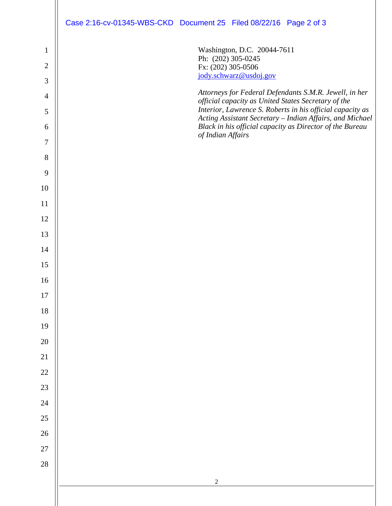|                | Case 2:16-cv-01345-WBS-CKD Document 25 Filed 08/22/16 Page 2 of 3                                                    |
|----------------|----------------------------------------------------------------------------------------------------------------------|
|                |                                                                                                                      |
| $\mathbf{1}$   | Washington, D.C. 20044-7611<br>Ph: (202) 305-0245                                                                    |
| $\overline{2}$ | Fx: (202) 305-0506<br>jody.schwarz@usdoj.gov                                                                         |
| 3              | Attorneys for Federal Defendants S.M.R. Jewell, in her                                                               |
| $\overline{4}$ | official capacity as United States Secretary of the<br>Interior, Lawrence S. Roberts in his official capacity as     |
| 5<br>6         | Acting Assistant Secretary - Indian Affairs, and Michael<br>Black in his official capacity as Director of the Bureau |
| $\tau$         | of Indian Affairs                                                                                                    |
| 8              |                                                                                                                      |
| 9              |                                                                                                                      |
| 10             |                                                                                                                      |
| 11             |                                                                                                                      |
| 12             |                                                                                                                      |
| 13             |                                                                                                                      |
| 14             |                                                                                                                      |
| 15             |                                                                                                                      |
| 16             |                                                                                                                      |
| $17\,$         |                                                                                                                      |
| 18             |                                                                                                                      |
| 19             |                                                                                                                      |
| $20\,$         |                                                                                                                      |
| $21\,$         |                                                                                                                      |
| $22\,$         |                                                                                                                      |
| $23\,$         |                                                                                                                      |
| $24\,$         |                                                                                                                      |
| $25\,$         |                                                                                                                      |
| $26\,$         |                                                                                                                      |
| $27\,$         |                                                                                                                      |
| 28             |                                                                                                                      |
|                | $\sqrt{2}$                                                                                                           |
|                |                                                                                                                      |